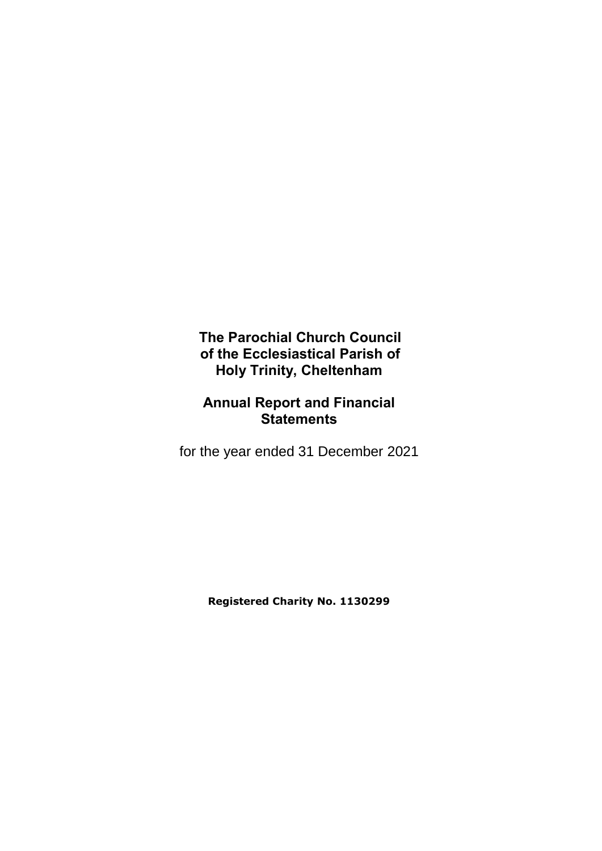# **The Parochial Church Council of the Ecclesiastical Parish of Holy Trinity, Cheltenham**

# **Annual Report and Financial Statements**

for the year ended 31 December 2021

**Registered Charity No. 1130299**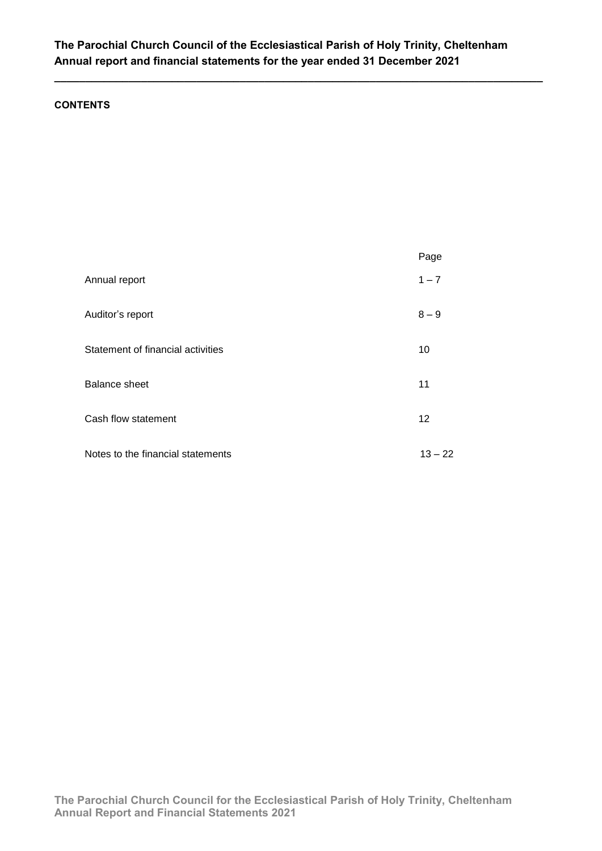**\_\_\_\_\_\_\_\_\_\_\_\_\_\_\_\_\_\_\_\_\_\_\_\_\_\_\_\_\_\_\_\_\_\_\_\_\_\_\_\_\_\_\_\_\_\_\_\_\_\_\_\_\_\_\_\_\_\_\_\_\_\_\_\_\_\_\_\_\_\_\_\_\_\_\_\_\_\_\_**

## **CONTENTS**

|                                   | Page      |
|-----------------------------------|-----------|
| Annual report                     | $1 - 7$   |
| Auditor's report                  | $8 - 9$   |
| Statement of financial activities | 10        |
| <b>Balance sheet</b>              | 11        |
| Cash flow statement               | 12        |
| Notes to the financial statements | $13 - 22$ |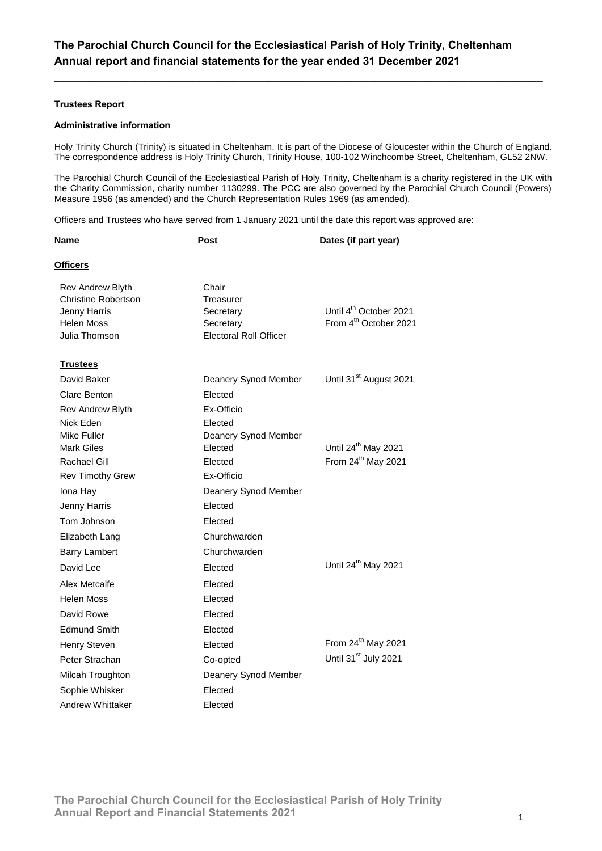## **Trustees Report**

## **Administrative information**

Holy Trinity Church (Trinity) is situated in Cheltenham. It is part of the Diocese of Gloucester within the Church of England. The correspondence address is Holy Trinity Church, Trinity House, 100-102 Winchcombe Street, Cheltenham, GL52 2NW.

The Parochial Church Council of the Ecclesiastical Parish of Holy Trinity, Cheltenham is a charity registered in the UK with the Charity Commission, charity number 1130299. The PCC are also governed by the Parochial Church Council (Powers) Measure 1956 (as amended) and the Church Representation Rules 1969 (as amended).

Officers and Trustees who have served from 1 January 2021 until the date this report was approved are:

| Name                                           | Post                          | Dates (if part year)               |  |
|------------------------------------------------|-------------------------------|------------------------------------|--|
| <b>Officers</b>                                |                               |                                    |  |
| Rev Andrew Blyth<br><b>Christine Robertson</b> | Chair                         |                                    |  |
| Jenny Harris                                   | Treasurer<br>Secretary        | Until 4 <sup>th</sup> October 2021 |  |
| <b>Helen Moss</b>                              | Secretary                     | From 4 <sup>th</sup> October 2021  |  |
| Julia Thomson                                  | <b>Electoral Roll Officer</b> |                                    |  |
| <u>Trustees</u>                                |                               |                                    |  |
| David Baker                                    | Deanery Synod Member          | Until 31 <sup>st</sup> August 2021 |  |
| Clare Benton                                   | Elected                       |                                    |  |
| Rev Andrew Blyth                               | Ex-Officio                    |                                    |  |
| Nick Eden                                      | Elected                       |                                    |  |
| Mike Fuller                                    | Deanery Synod Member          |                                    |  |
| <b>Mark Giles</b>                              | Elected                       | Until 24 <sup>th</sup> May 2021    |  |
| Rachael Gill                                   | Elected                       | From 24 <sup>th</sup> May 2021     |  |
| <b>Rev Timothy Grew</b>                        | Ex-Officio                    |                                    |  |
| Iona Hay                                       | Deanery Synod Member          |                                    |  |
| Jenny Harris                                   | Elected                       |                                    |  |
| Tom Johnson                                    | Elected                       |                                    |  |
| Elizabeth Lang                                 | Churchwarden                  |                                    |  |
| <b>Barry Lambert</b>                           | Churchwarden                  |                                    |  |
| David Lee                                      | Elected                       | Until 24 <sup>th</sup> May 2021    |  |
| Alex Metcalfe                                  | Elected                       |                                    |  |
| <b>Helen Moss</b>                              | Elected                       |                                    |  |
| David Rowe                                     | Elected                       |                                    |  |
| <b>Edmund Smith</b>                            | Elected                       |                                    |  |
| Henry Steven                                   | Elected                       | From 24 <sup>th</sup> May 2021     |  |
| Peter Strachan                                 | Co-opted                      | Until 31 <sup>st</sup> July 2021   |  |
| Milcah Troughton                               | Deanery Synod Member          |                                    |  |
| Sophie Whisker                                 | Elected                       |                                    |  |
| Andrew Whittaker                               | Elected                       |                                    |  |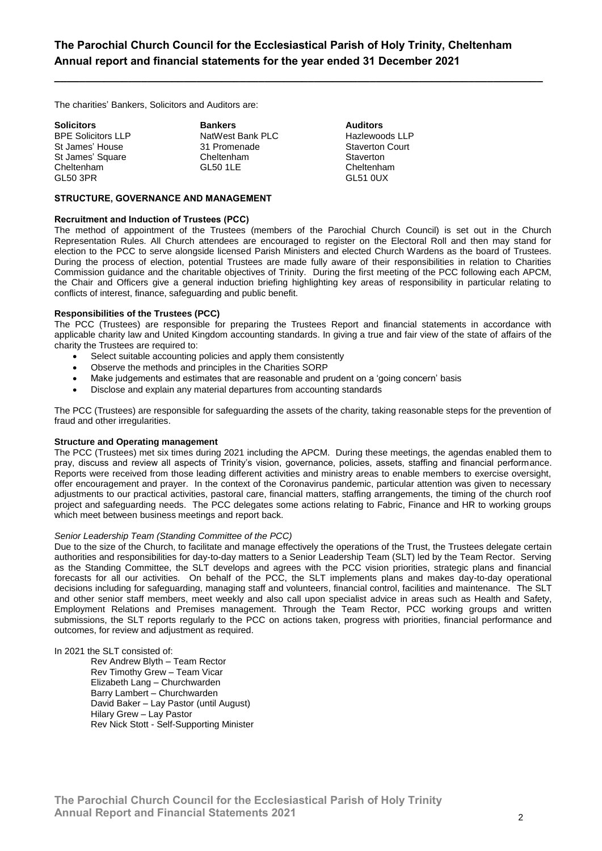The charities' Bankers, Solicitors and Auditors are:

**Solicitors Bankers Auditors** St James' Square GL50 3PR GL51 0UX

BPE Solicitors LLP 
and MatWest Bank PLC

NatWest Ann Allen Mazlewoods LLP St James' House 31 Promenade Staverton Court<br>St James' Square Cheltenham Cheltenham Staverton Cheltenham GL50 1LE Cheltenham Cheltenham

## **STRUCTURE, GOVERNANCE AND MANAGEMENT**

### **Recruitment and Induction of Trustees (PCC)**

The method of appointment of the Trustees (members of the Parochial Church Council) is set out in the Church Representation Rules. All Church attendees are encouraged to register on the Electoral Roll and then may stand for election to the PCC to serve alongside licensed Parish Ministers and elected Church Wardens as the board of Trustees. During the process of election, potential Trustees are made fully aware of their responsibilities in relation to Charities Commission guidance and the charitable objectives of Trinity. During the first meeting of the PCC following each APCM, the Chair and Officers give a general induction briefing highlighting key areas of responsibility in particular relating to conflicts of interest, finance, safeguarding and public benefit.

### **Responsibilities of the Trustees (PCC)**

The PCC (Trustees) are responsible for preparing the Trustees Report and financial statements in accordance with applicable charity law and United Kingdom accounting standards. In giving a true and fair view of the state of affairs of the charity the Trustees are required to:

- Select suitable accounting policies and apply them consistently
- Observe the methods and principles in the Charities SORP
- Make judgements and estimates that are reasonable and prudent on a 'going concern' basis
- Disclose and explain any material departures from accounting standards

The PCC (Trustees) are responsible for safeguarding the assets of the charity, taking reasonable steps for the prevention of fraud and other irregularities.

### **Structure and Operating management**

The PCC (Trustees) met six times during 2021 including the APCM. During these meetings, the agendas enabled them to pray, discuss and review all aspects of Trinity's vision, governance, policies, assets, staffing and financial performance. Reports were received from those leading different activities and ministry areas to enable members to exercise oversight, offer encouragement and prayer. In the context of the Coronavirus pandemic, particular attention was given to necessary adjustments to our practical activities, pastoral care, financial matters, staffing arrangements, the timing of the church roof project and safeguarding needs. The PCC delegates some actions relating to Fabric, Finance and HR to working groups which meet between business meetings and report back.

### *Senior Leadership Team (Standing Committee of the PCC)*

Due to the size of the Church, to facilitate and manage effectively the operations of the Trust, the Trustees delegate certain authorities and responsibilities for day-to-day matters to a Senior Leadership Team (SLT) led by the Team Rector. Serving as the Standing Committee, the SLT develops and agrees with the PCC vision priorities, strategic plans and financial forecasts for all our activities. On behalf of the PCC, the SLT implements plans and makes day-to-day operational decisions including for safeguarding, managing staff and volunteers, financial control, facilities and maintenance. The SLT and other senior staff members, meet weekly and also call upon specialist advice in areas such as Health and Safety, Employment Relations and Premises management. Through the Team Rector, PCC working groups and written submissions, the SLT reports regularly to the PCC on actions taken, progress with priorities, financial performance and outcomes, for review and adjustment as required.

### In 2021 the SLT consisted of:

Rev Andrew Blyth – Team Rector Rev Timothy Grew – Team Vicar Elizabeth Lang – Churchwarden Barry Lambert – Churchwarden David Baker – Lay Pastor (until August) Hilary Grew – Lay Pastor Rev Nick Stott - Self-Supporting Minister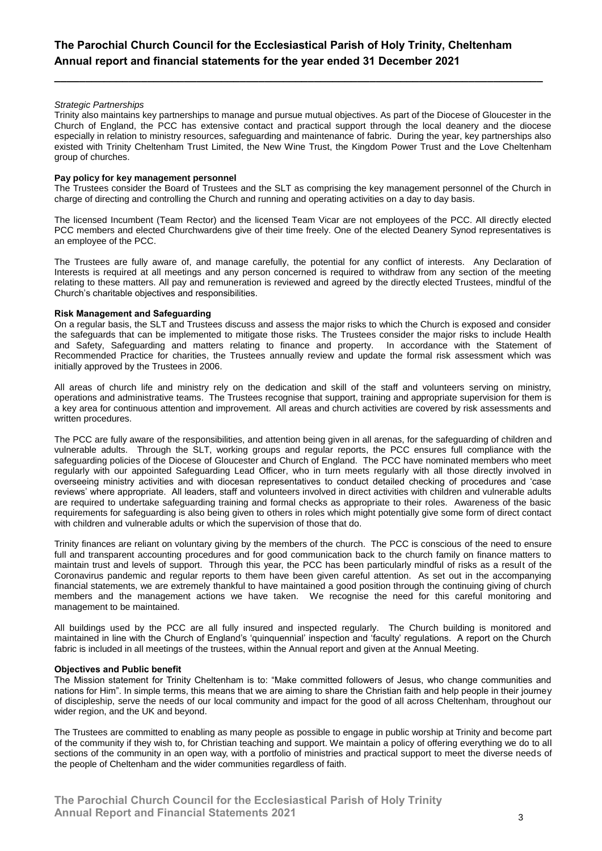### *Strategic Partnerships*

Trinity also maintains key partnerships to manage and pursue mutual objectives. As part of the Diocese of Gloucester in the Church of England, the PCC has extensive contact and practical support through the local deanery and the diocese especially in relation to ministry resources, safeguarding and maintenance of fabric. During the year, key partnerships also existed with Trinity Cheltenham Trust Limited, the New Wine Trust, the Kingdom Power Trust and the Love Cheltenham group of churches.

**\_\_\_\_\_\_\_\_\_\_\_\_\_\_\_\_\_\_\_\_\_\_\_\_\_\_\_\_\_\_\_\_\_\_\_\_\_\_\_\_\_\_\_\_\_\_\_\_\_\_\_\_\_\_\_\_\_\_\_\_\_\_\_\_\_\_\_\_\_\_\_\_\_\_\_\_\_\_\_**

### **Pay policy for key management personnel**

The Trustees consider the Board of Trustees and the SLT as comprising the key management personnel of the Church in charge of directing and controlling the Church and running and operating activities on a day to day basis.

The licensed Incumbent (Team Rector) and the licensed Team Vicar are not employees of the PCC. All directly elected PCC members and elected Churchwardens give of their time freely. One of the elected Deanery Synod representatives is an employee of the PCC.

The Trustees are fully aware of, and manage carefully, the potential for any conflict of interests. Any Declaration of Interests is required at all meetings and any person concerned is required to withdraw from any section of the meeting relating to these matters. All pay and remuneration is reviewed and agreed by the directly elected Trustees, mindful of the Church's charitable objectives and responsibilities.

### **Risk Management and Safeguarding**

On a regular basis, the SLT and Trustees discuss and assess the major risks to which the Church is exposed and consider the safeguards that can be implemented to mitigate those risks. The Trustees consider the major risks to include Health and Safety, Safeguarding and matters relating to finance and property. In accordance with the Statement of Recommended Practice for charities, the Trustees annually review and update the formal risk assessment which was initially approved by the Trustees in 2006.

All areas of church life and ministry rely on the dedication and skill of the staff and volunteers serving on ministry, operations and administrative teams. The Trustees recognise that support, training and appropriate supervision for them is a key area for continuous attention and improvement. All areas and church activities are covered by risk assessments and written procedures.

The PCC are fully aware of the responsibilities, and attention being given in all arenas, for the safeguarding of children and vulnerable adults. Through the SLT, working groups and regular reports, the PCC ensures full compliance with the safeguarding policies of the Diocese of Gloucester and Church of England. The PCC have nominated members who meet regularly with our appointed Safeguarding Lead Officer, who in turn meets regularly with all those directly involved in overseeing ministry activities and with diocesan representatives to conduct detailed checking of procedures and 'case reviews' where appropriate. All leaders, staff and volunteers involved in direct activities with children and vulnerable adults are required to undertake safeguarding training and formal checks as appropriate to their roles. Awareness of the basic requirements for safeguarding is also being given to others in roles which might potentially give some form of direct contact with children and vulnerable adults or which the supervision of those that do.

Trinity finances are reliant on voluntary giving by the members of the church. The PCC is conscious of the need to ensure full and transparent accounting procedures and for good communication back to the church family on finance matters to maintain trust and levels of support. Through this year, the PCC has been particularly mindful of risks as a result of the Coronavirus pandemic and regular reports to them have been given careful attention. As set out in the accompanying financial statements, we are extremely thankful to have maintained a good position through the continuing giving of church members and the management actions we have taken. We recognise the need for this careful monitoring and management to be maintained.

All buildings used by the PCC are all fully insured and inspected regularly. The Church building is monitored and maintained in line with the Church of England's 'quinquennial' inspection and 'faculty' regulations. A report on the Church fabric is included in all meetings of the trustees, within the Annual report and given at the Annual Meeting.

### **Objectives and Public benefit**

The Mission statement for Trinity Cheltenham is to: "Make committed followers of Jesus, who change communities and nations for Him". In simple terms, this means that we are aiming to share the Christian faith and help people in their journey of discipleship, serve the needs of our local community and impact for the good of all across Cheltenham, throughout our wider region, and the UK and beyond.

The Trustees are committed to enabling as many people as possible to engage in public worship at Trinity and become part of the community if they wish to, for Christian teaching and support. We maintain a policy of offering everything we do to all sections of the community in an open way, with a portfolio of ministries and practical support to meet the diverse needs of the people of Cheltenham and the wider communities regardless of faith.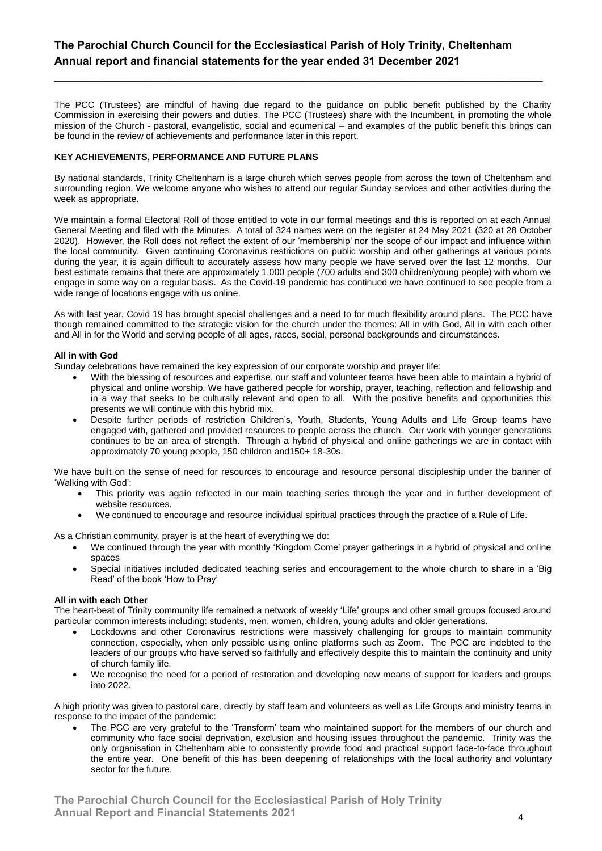The PCC (Trustees) are mindful of having due regard to the guidance on public benefit published by the Charity Commission in exercising their powers and duties. The PCC (Trustees) share with the Incumbent, in promoting the whole mission of the Church - pastoral, evangelistic, social and ecumenical – and examples of the public benefit this brings can be found in the review of achievements and performance later in this report.

**\_\_\_\_\_\_\_\_\_\_\_\_\_\_\_\_\_\_\_\_\_\_\_\_\_\_\_\_\_\_\_\_\_\_\_\_\_\_\_\_\_\_\_\_\_\_\_\_\_\_\_\_\_\_\_\_\_\_\_\_\_\_\_\_\_\_\_\_\_\_\_\_\_\_\_\_\_\_\_**

## **KEY ACHIEVEMENTS, PERFORMANCE AND FUTURE PLANS**

By national standards, Trinity Cheltenham is a large church which serves people from across the town of Cheltenham and surrounding region. We welcome anyone who wishes to attend our regular Sunday services and other activities during the week as appropriate.

We maintain a formal Electoral Roll of those entitled to vote in our formal meetings and this is reported on at each Annual General Meeting and filed with the Minutes. A total of 324 names were on the register at 24 May 2021 (320 at 28 October 2020). However, the Roll does not reflect the extent of our 'membership' nor the scope of our impact and influence within the local community. Given continuing Coronavirus restrictions on public worship and other gatherings at various points during the year, it is again difficult to accurately assess how many people we have served over the last 12 months. Our best estimate remains that there are approximately 1,000 people (700 adults and 300 children/young people) with whom we engage in some way on a regular basis. As the Covid-19 pandemic has continued we have continued to see people from a wide range of locations engage with us online.

As with last year, Covid 19 has brought special challenges and a need to for much flexibility around plans. The PCC have though remained committed to the strategic vision for the church under the themes: All in with God, All in with each other and All in for the World and serving people of all ages, races, social, personal backgrounds and circumstances.

### **All in with God**

Sunday celebrations have remained the key expression of our corporate worship and prayer life:

- With the blessing of resources and expertise, our staff and volunteer teams have been able to maintain a hybrid of physical and online worship. We have gathered people for worship, prayer, teaching, reflection and fellowship and in a way that seeks to be culturally relevant and open to all. With the positive benefits and opportunities this presents we will continue with this hybrid mix.
- Despite further periods of restriction Children's, Youth, Students, Young Adults and Life Group teams have engaged with, gathered and provided resources to people across the church. Our work with younger generations continues to be an area of strength. Through a hybrid of physical and online gatherings we are in contact with approximately 70 young people, 150 children and150+ 18-30s.

We have built on the sense of need for resources to encourage and resource personal discipleship under the banner of 'Walking with God':

- This priority was again reflected in our main teaching series through the year and in further development of website resources.
- We continued to encourage and resource individual spiritual practices through the practice of a Rule of Life.

As a Christian community, prayer is at the heart of everything we do:

- We continued through the year with monthly 'Kingdom Come' prayer gatherings in a hybrid of physical and online spaces
- Special initiatives included dedicated teaching series and encouragement to the whole church to share in a 'Big Read' of the book 'How to Pray'

### **All in with each Other**

The heart-beat of Trinity community life remained a network of weekly 'Life' groups and other small groups focused around particular common interests including: students, men, women, children, young adults and older generations.

- Lockdowns and other Coronavirus restrictions were massively challenging for groups to maintain community connection, especially, when only possible using online platforms such as Zoom. The PCC are indebted to the leaders of our groups who have served so faithfully and effectively despite this to maintain the continuity and unity of church family life.
- We recognise the need for a period of restoration and developing new means of support for leaders and groups into 2022.

A high priority was given to pastoral care, directly by staff team and volunteers as well as Life Groups and ministry teams in response to the impact of the pandemic:

 The PCC are very grateful to the 'Transform' team who maintained support for the members of our church and community who face social deprivation, exclusion and housing issues throughout the pandemic. Trinity was the only organisation in Cheltenham able to consistently provide food and practical support face-to-face throughout the entire year. One benefit of this has been deepening of relationships with the local authority and voluntary sector for the future.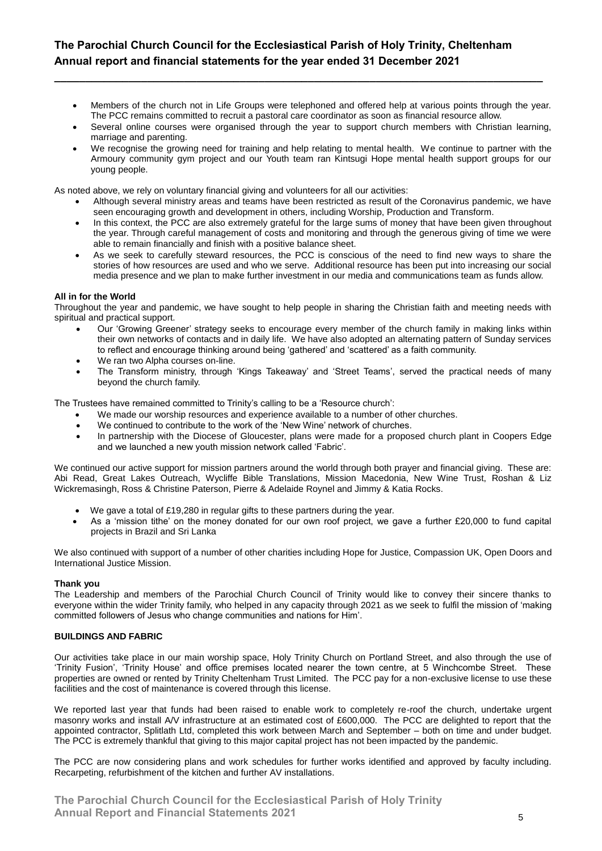- Members of the church not in Life Groups were telephoned and offered help at various points through the year. The PCC remains committed to recruit a pastoral care coordinator as soon as financial resource allow.
- Several online courses were organised through the year to support church members with Christian learning, marriage and parenting.
- We recognise the growing need for training and help relating to mental health. We continue to partner with the Armoury community gym project and our Youth team ran Kintsugi Hope mental health support groups for our young people.

As noted above, we rely on voluntary financial giving and volunteers for all our activities:

- Although several ministry areas and teams have been restricted as result of the Coronavirus pandemic, we have seen encouraging growth and development in others, including Worship, Production and Transform.
- In this context, the PCC are also extremely grateful for the large sums of money that have been given throughout the year. Through careful management of costs and monitoring and through the generous giving of time we were able to remain financially and finish with a positive balance sheet.
- As we seek to carefully steward resources, the PCC is conscious of the need to find new ways to share the stories of how resources are used and who we serve. Additional resource has been put into increasing our social media presence and we plan to make further investment in our media and communications team as funds allow.

## **All in for the World**

Throughout the year and pandemic, we have sought to help people in sharing the Christian faith and meeting needs with spiritual and practical support.

- Our 'Growing Greener' strategy seeks to encourage every member of the church family in making links within their own networks of contacts and in daily life. We have also adopted an alternating pattern of Sunday services to reflect and encourage thinking around being 'gathered' and 'scattered' as a faith community.
- We ran two Alpha courses on-line.
- The Transform ministry, through 'Kings Takeaway' and 'Street Teams', served the practical needs of many beyond the church family.

The Trustees have remained committed to Trinity's calling to be a 'Resource church':

- We made our worship resources and experience available to a number of other churches.
- We continued to contribute to the work of the 'New Wine' network of churches.
- In partnership with the Diocese of Gloucester, plans were made for a proposed church plant in Coopers Edge and we launched a new youth mission network called 'Fabric'.

We continued our active support for mission partners around the world through both prayer and financial giving. These are: Abi Read, Great Lakes Outreach, Wycliffe Bible Translations, Mission Macedonia, New Wine Trust, Roshan & Liz Wickremasingh, Ross & Christine Paterson, Pierre & Adelaide Roynel and Jimmy & Katia Rocks.

- We gave a total of £19,280 in regular gifts to these partners during the year.
- As a 'mission tithe' on the money donated for our own roof project, we gave a further £20,000 to fund capital projects in Brazil and Sri Lanka

We also continued with support of a number of other charities including Hope for Justice, Compassion UK, Open Doors and International Justice Mission.

### **Thank you**

The Leadership and members of the Parochial Church Council of Trinity would like to convey their sincere thanks to everyone within the wider Trinity family, who helped in any capacity through 2021 as we seek to fulfil the mission of 'making committed followers of Jesus who change communities and nations for Him'.

## **BUILDINGS AND FABRIC**

Our activities take place in our main worship space, Holy Trinity Church on Portland Street, and also through the use of 'Trinity Fusion', 'Trinity House' and office premises located nearer the town centre, at 5 Winchcombe Street. These properties are owned or rented by Trinity Cheltenham Trust Limited. The PCC pay for a non-exclusive license to use these facilities and the cost of maintenance is covered through this license.

We reported last year that funds had been raised to enable work to completely re-roof the church, undertake urgent masonry works and install A/V infrastructure at an estimated cost of £600,000. The PCC are delighted to report that the appointed contractor, Splitlath Ltd, completed this work between March and September – both on time and under budget. The PCC is extremely thankful that giving to this major capital project has not been impacted by the pandemic.

The PCC are now considering plans and work schedules for further works identified and approved by faculty including. Recarpeting, refurbishment of the kitchen and further AV installations.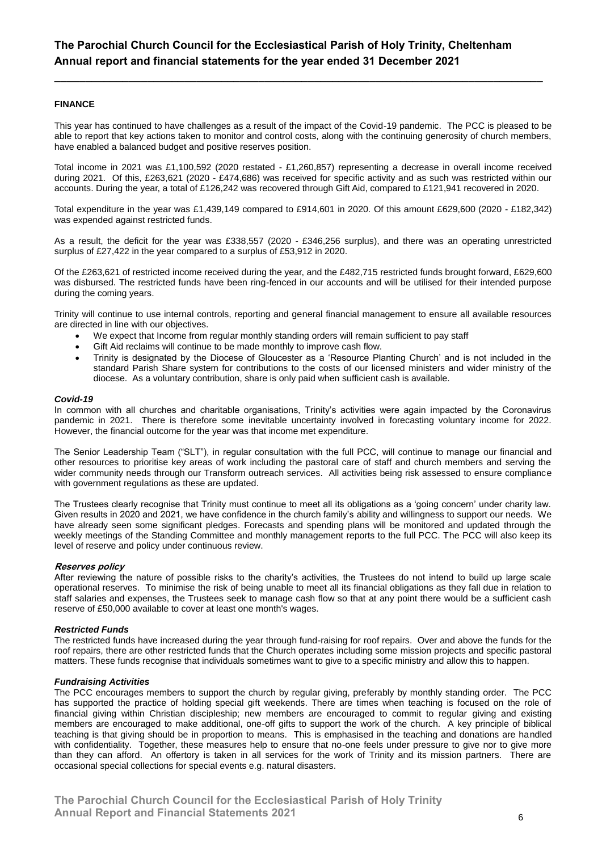### **FINANCE**

This year has continued to have challenges as a result of the impact of the Covid-19 pandemic. The PCC is pleased to be able to report that key actions taken to monitor and control costs, along with the continuing generosity of church members, have enabled a balanced budget and positive reserves position.

**\_\_\_\_\_\_\_\_\_\_\_\_\_\_\_\_\_\_\_\_\_\_\_\_\_\_\_\_\_\_\_\_\_\_\_\_\_\_\_\_\_\_\_\_\_\_\_\_\_\_\_\_\_\_\_\_\_\_\_\_\_\_\_\_\_\_\_\_\_\_\_\_\_\_\_\_\_\_\_**

Total income in 2021 was £1,100,592 (2020 restated - £1,260,857) representing a decrease in overall income received during 2021. Of this, £263,621 (2020 - £474,686) was received for specific activity and as such was restricted within our accounts. During the year, a total of £126,242 was recovered through Gift Aid, compared to £121,941 recovered in 2020.

Total expenditure in the year was £1,439,149 compared to £914,601 in 2020. Of this amount £629,600 (2020 - £182,342) was expended against restricted funds.

As a result, the deficit for the year was £338,557 (2020 - £346,256 surplus), and there was an operating unrestricted surplus of £27,422 in the year compared to a surplus of £53,912 in 2020.

Of the £263,621 of restricted income received during the year, and the £482,715 restricted funds brought forward, £629,600 was disbursed. The restricted funds have been ring-fenced in our accounts and will be utilised for their intended purpose during the coming years.

Trinity will continue to use internal controls, reporting and general financial management to ensure all available resources are directed in line with our objectives.

- We expect that Income from regular monthly standing orders will remain sufficient to pay staff
- Gift Aid reclaims will continue to be made monthly to improve cash flow.
- Trinity is designated by the Diocese of Gloucester as a 'Resource Planting Church' and is not included in the standard Parish Share system for contributions to the costs of our licensed ministers and wider ministry of the diocese. As a voluntary contribution, share is only paid when sufficient cash is available.

#### *Covid-19*

In common with all churches and charitable organisations, Trinity's activities were again impacted by the Coronavirus pandemic in 2021. There is therefore some inevitable uncertainty involved in forecasting voluntary income for 2022. However, the financial outcome for the year was that income met expenditure.

The Senior Leadership Team ("SLT"), in regular consultation with the full PCC, will continue to manage our financial and other resources to prioritise key areas of work including the pastoral care of staff and church members and serving the wider community needs through our Transform outreach services. All activities being risk assessed to ensure compliance with government regulations as these are updated.

The Trustees clearly recognise that Trinity must continue to meet all its obligations as a 'going concern' under charity law. Given results in 2020 and 2021, we have confidence in the church family's ability and willingness to support our needs. We have already seen some significant pledges. Forecasts and spending plans will be monitored and updated through the weekly meetings of the Standing Committee and monthly management reports to the full PCC. The PCC will also keep its level of reserve and policy under continuous review.

#### **Reserves policy**

After reviewing the nature of possible risks to the charity's activities, the Trustees do not intend to build up large scale operational reserves. To minimise the risk of being unable to meet all its financial obligations as they fall due in relation to staff salaries and expenses, the Trustees seek to manage cash flow so that at any point there would be a sufficient cash reserve of £50,000 available to cover at least one month's wages.

### *Restricted Funds*

The restricted funds have increased during the year through fund-raising for roof repairs. Over and above the funds for the roof repairs, there are other restricted funds that the Church operates including some mission projects and specific pastoral matters. These funds recognise that individuals sometimes want to give to a specific ministry and allow this to happen.

### *Fundraising Activities*

The PCC encourages members to support the church by regular giving, preferably by monthly standing order. The PCC has supported the practice of holding special gift weekends. There are times when teaching is focused on the role of financial giving within Christian discipleship; new members are encouraged to commit to regular giving and existing members are encouraged to make additional, one-off gifts to support the work of the church. A key principle of biblical teaching is that giving should be in proportion to means. This is emphasised in the teaching and donations are handled with confidentiality. Together, these measures help to ensure that no-one feels under pressure to give nor to give more than they can afford. An offertory is taken in all services for the work of Trinity and its mission partners. There are occasional special collections for special events e.g. natural disasters.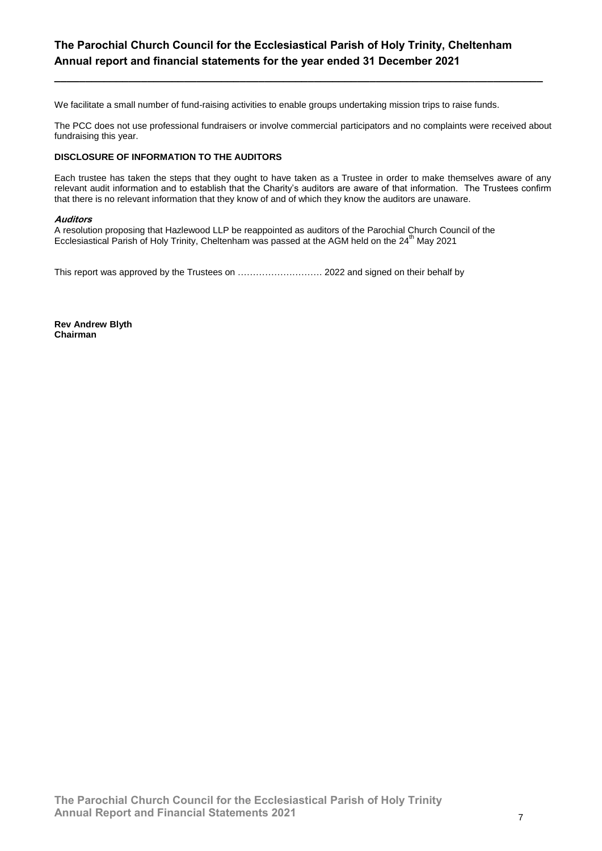We facilitate a small number of fund-raising activities to enable groups undertaking mission trips to raise funds.

The PCC does not use professional fundraisers or involve commercial participators and no complaints were received about fundraising this year.

**\_\_\_\_\_\_\_\_\_\_\_\_\_\_\_\_\_\_\_\_\_\_\_\_\_\_\_\_\_\_\_\_\_\_\_\_\_\_\_\_\_\_\_\_\_\_\_\_\_\_\_\_\_\_\_\_\_\_\_\_\_\_\_\_\_\_\_\_\_\_\_\_\_\_\_\_\_\_\_**

## **DISCLOSURE OF INFORMATION TO THE AUDITORS**

Each trustee has taken the steps that they ought to have taken as a Trustee in order to make themselves aware of any relevant audit information and to establish that the Charity's auditors are aware of that information. The Trustees confirm that there is no relevant information that they know of and of which they know the auditors are unaware.

#### **Auditors**

A resolution proposing that Hazlewood LLP be reappointed as auditors of the Parochial Church Council of the Ecclesiastical Parish of Holy Trinity, Cheltenham was passed at the AGM held on the 24<sup>th</sup> May 2021

This report was approved by the Trustees on ………………………. 2022 and signed on their behalf by

**Rev Andrew Blyth Chairman**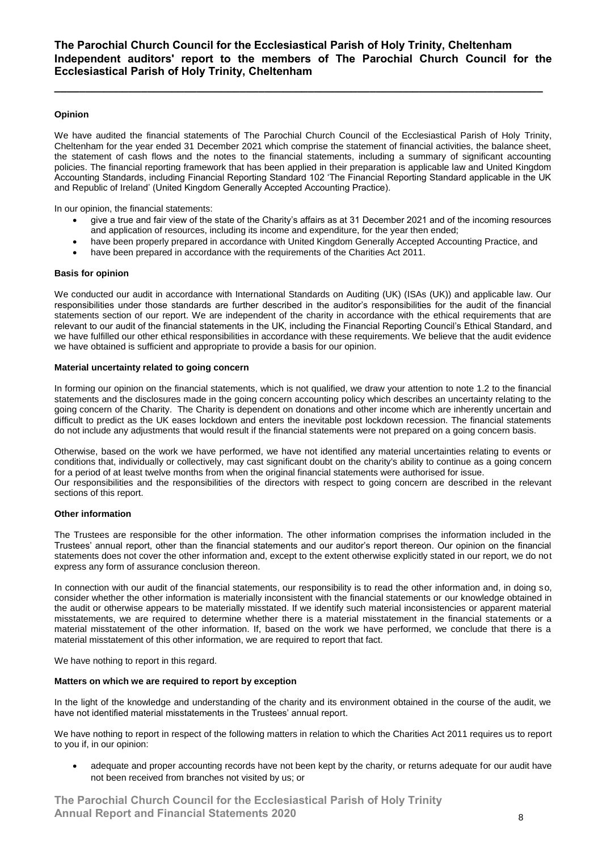## **Opinion**

We have audited the financial statements of The Parochial Church Council of the Ecclesiastical Parish of Holy Trinity, Cheltenham for the year ended 31 December 2021 which comprise the statement of financial activities, the balance sheet, the statement of cash flows and the notes to the financial statements, including a summary of significant accounting policies. The financial reporting framework that has been applied in their preparation is applicable law and United Kingdom Accounting Standards, including Financial Reporting Standard 102 'The Financial Reporting Standard applicable in the UK and Republic of Ireland' (United Kingdom Generally Accepted Accounting Practice).

In our opinion, the financial statements:

- give a true and fair view of the state of the Charity's affairs as at 31 December 2021 and of the incoming resources and application of resources, including its income and expenditure, for the year then ended;
- have been properly prepared in accordance with United Kingdom Generally Accepted Accounting Practice, and
- have been prepared in accordance with the requirements of the Charities Act 2011.

### **Basis for opinion**

We conducted our audit in accordance with International Standards on Auditing (UK) (ISAs (UK)) and applicable law. Our responsibilities under those standards are further described in the auditor's responsibilities for the audit of the financial statements section of our report. We are independent of the charity in accordance with the ethical requirements that are relevant to our audit of the financial statements in the UK, including the Financial Reporting Council's Ethical Standard, and we have fulfilled our other ethical responsibilities in accordance with these requirements. We believe that the audit evidence we have obtained is sufficient and appropriate to provide a basis for our opinion.

#### **Material uncertainty related to going concern**

In forming our opinion on the financial statements, which is not qualified, we draw your attention to note 1.2 to the financial statements and the disclosures made in the going concern accounting policy which describes an uncertainty relating to the going concern of the Charity. The Charity is dependent on donations and other income which are inherently uncertain and difficult to predict as the UK eases lockdown and enters the inevitable post lockdown recession. The financial statements do not include any adjustments that would result if the financial statements were not prepared on a going concern basis.

Otherwise, based on the work we have performed, we have not identified any material uncertainties relating to events or conditions that, individually or collectively, may cast significant doubt on the charity's ability to continue as a going concern for a period of at least twelve months from when the original financial statements were authorised for issue. Our responsibilities and the responsibilities of the directors with respect to going concern are described in the relevant sections of this report.

### **Other information**

The Trustees are responsible for the other information. The other information comprises the information included in the Trustees' annual report, other than the financial statements and our auditor's report thereon. Our opinion on the financial statements does not cover the other information and, except to the extent otherwise explicitly stated in our report, we do not express any form of assurance conclusion thereon.

In connection with our audit of the financial statements, our responsibility is to read the other information and, in doing so, consider whether the other information is materially inconsistent with the financial statements or our knowledge obtained in the audit or otherwise appears to be materially misstated. If we identify such material inconsistencies or apparent material misstatements, we are required to determine whether there is a material misstatement in the financial statements or a material misstatement of the other information. If, based on the work we have performed, we conclude that there is a material misstatement of this other information, we are required to report that fact.

We have nothing to report in this regard.

### **Matters on which we are required to report by exception**

In the light of the knowledge and understanding of the charity and its environment obtained in the course of the audit, we have not identified material misstatements in the Trustees' annual report.

We have nothing to report in respect of the following matters in relation to which the Charities Act 2011 requires us to report to you if, in our opinion:

 adequate and proper accounting records have not been kept by the charity, or returns adequate for our audit have not been received from branches not visited by us; or

**The Parochial Church Council for the Ecclesiastical Parish of Holy Trinity Annual Report and Financial Statements 2020**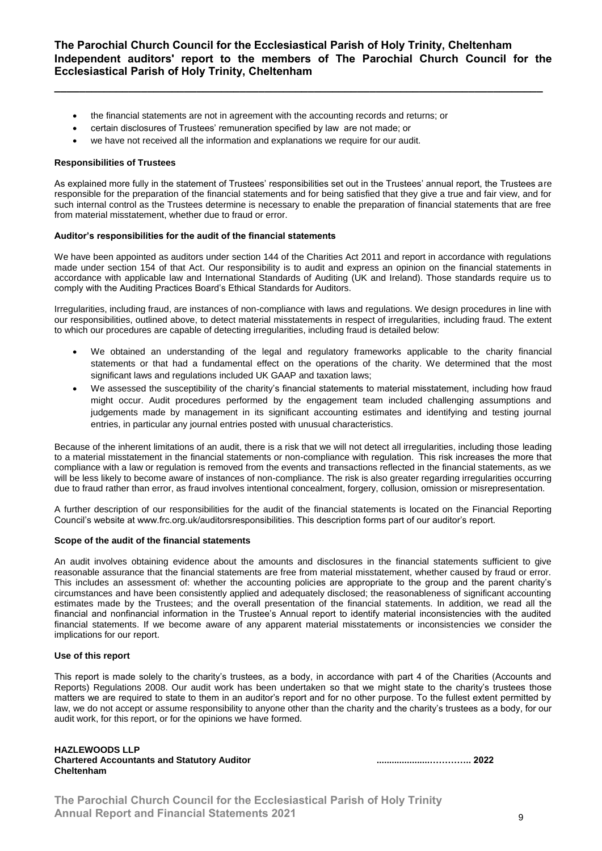- the financial statements are not in agreement with the accounting records and returns; or
- certain disclosures of Trustees' remuneration specified by law are not made; or
- we have not received all the information and explanations we require for our audit.

### **Responsibilities of Trustees**

As explained more fully in the statement of Trustees' responsibilities set out in the Trustees' annual report, the Trustees are responsible for the preparation of the financial statements and for being satisfied that they give a true and fair view, and for such internal control as the Trustees determine is necessary to enable the preparation of financial statements that are free from material misstatement, whether due to fraud or error.

### **Auditor's responsibilities for the audit of the financial statements**

We have been appointed as auditors under section 144 of the Charities Act 2011 and report in accordance with regulations made under section 154 of that Act. Our responsibility is to audit and express an opinion on the financial statements in accordance with applicable law and International Standards of Auditing (UK and Ireland). Those standards require us to comply with the Auditing Practices Board's Ethical Standards for Auditors.

Irregularities, including fraud, are instances of non-compliance with laws and regulations. We design procedures in line with our responsibilities, outlined above, to detect material misstatements in respect of irregularities, including fraud. The extent to which our procedures are capable of detecting irregularities, including fraud is detailed below:

- We obtained an understanding of the legal and regulatory frameworks applicable to the charity financial statements or that had a fundamental effect on the operations of the charity. We determined that the most significant laws and regulations included UK GAAP and taxation laws;
- We assessed the susceptibility of the charity's financial statements to material misstatement, including how fraud might occur. Audit procedures performed by the engagement team included challenging assumptions and judgements made by management in its significant accounting estimates and identifying and testing journal entries, in particular any journal entries posted with unusual characteristics.

Because of the inherent limitations of an audit, there is a risk that we will not detect all irregularities, including those leading to a material misstatement in the financial statements or non-compliance with regulation.  This risk increases the more that compliance with a law or regulation is removed from the events and transactions reflected in the financial statements, as we will be less likely to become aware of instances of non-compliance. The risk is also greater regarding irregularities occurring due to fraud rather than error, as fraud involves intentional concealment, forgery, collusion, omission or misrepresentation.

A further description of our responsibilities for the audit of the financial statements is located on the Financial Reporting Council's website at www.frc.org.uk/auditorsresponsibilities. This description forms part of our auditor's report.

### **Scope of the audit of the financial statements**

An audit involves obtaining evidence about the amounts and disclosures in the financial statements sufficient to give reasonable assurance that the financial statements are free from material misstatement, whether caused by fraud or error. This includes an assessment of: whether the accounting policies are appropriate to the group and the parent charity's circumstances and have been consistently applied and adequately disclosed; the reasonableness of significant accounting estimates made by the Trustees; and the overall presentation of the financial statements. In addition, we read all the financial and nonfinancial information in the Trustee's Annual report to identify material inconsistencies with the audited financial statements. If we become aware of any apparent material misstatements or inconsistencies we consider the implications for our report.

### **Use of this report**

This report is made solely to the charity's trustees, as a body, in accordance with part 4 of the Charities (Accounts and Reports) Regulations 2008. Our audit work has been undertaken so that we might state to the charity's trustees those matters we are required to state to them in an auditor's report and for no other purpose. To the fullest extent permitted by law, we do not accept or assume responsibility to anyone other than the charity and the charity's trustees as a body, for our audit work, for this report, or for the opinions we have formed.

#### **HAZLEWOODS LLP Chartered Accountants and Statutory Auditor .....................………….. 2022 Cheltenham**

**The Parochial Church Council for the Ecclesiastical Parish of Holy Trinity Annual Report and Financial Statements 2021**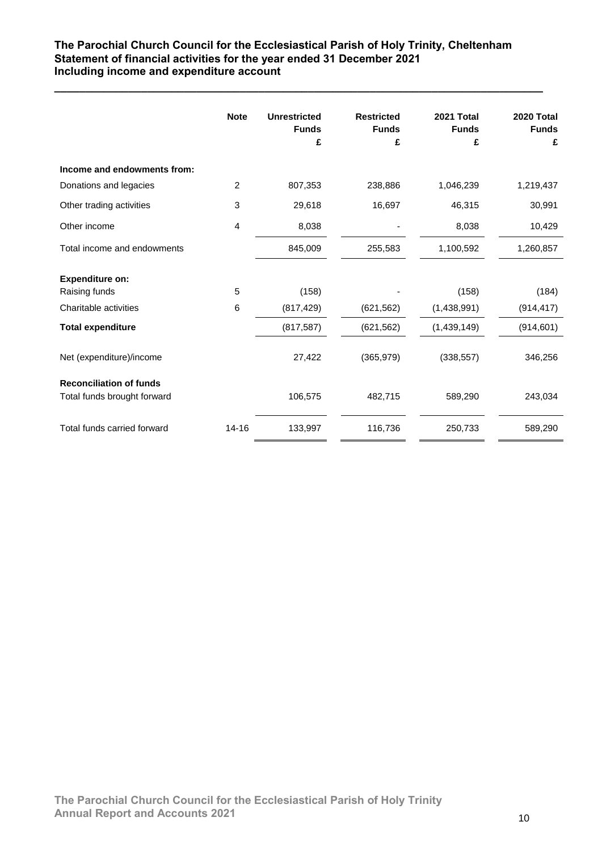## **The Parochial Church Council for the Ecclesiastical Parish of Holy Trinity, Cheltenham Statement of financial activities for the year ended 31 December 2021 Including income and expenditure account**

**\_\_\_\_\_\_\_\_\_\_\_\_\_\_\_\_\_\_\_\_\_\_\_\_\_\_\_\_\_\_\_\_\_\_\_\_\_\_\_\_\_\_\_\_\_\_\_\_\_\_\_\_\_\_\_\_\_\_\_\_\_\_\_\_\_\_\_\_\_\_\_\_\_\_\_\_\_\_\_**

|                                                               | <b>Note</b> | <b>Unrestricted</b><br><b>Funds</b><br>£ | <b>Restricted</b><br><b>Funds</b><br>£ | 2021 Total<br><b>Funds</b><br>£ | 2020 Total<br><b>Funds</b><br>£ |
|---------------------------------------------------------------|-------------|------------------------------------------|----------------------------------------|---------------------------------|---------------------------------|
| Income and endowments from:                                   |             |                                          |                                        |                                 |                                 |
| Donations and legacies                                        | 2           | 807,353                                  | 238,886                                | 1,046,239                       | 1,219,437                       |
| Other trading activities                                      | 3           | 29,618                                   | 16,697                                 | 46,315                          | 30,991                          |
| Other income                                                  | 4           | 8,038                                    |                                        | 8,038                           | 10,429                          |
| Total income and endowments                                   |             | 845,009                                  | 255,583                                | 1,100,592                       | 1,260,857                       |
| <b>Expenditure on:</b>                                        |             |                                          |                                        |                                 |                                 |
| Raising funds                                                 | 5           | (158)                                    |                                        | (158)                           | (184)                           |
| Charitable activities                                         | 6           | (817, 429)                               | (621, 562)                             | (1,438,991)                     | (914, 417)                      |
| <b>Total expenditure</b>                                      |             | (817, 587)                               | (621, 562)                             | (1,439,149)                     | (914, 601)                      |
| Net (expenditure)/income                                      |             | 27,422                                   | (365, 979)                             | (338, 557)                      | 346,256                         |
| <b>Reconciliation of funds</b><br>Total funds brought forward |             | 106,575                                  | 482,715                                | 589,290                         | 243,034                         |
| Total funds carried forward                                   | $14 - 16$   | 133,997                                  | 116,736                                | 250,733                         | 589,290                         |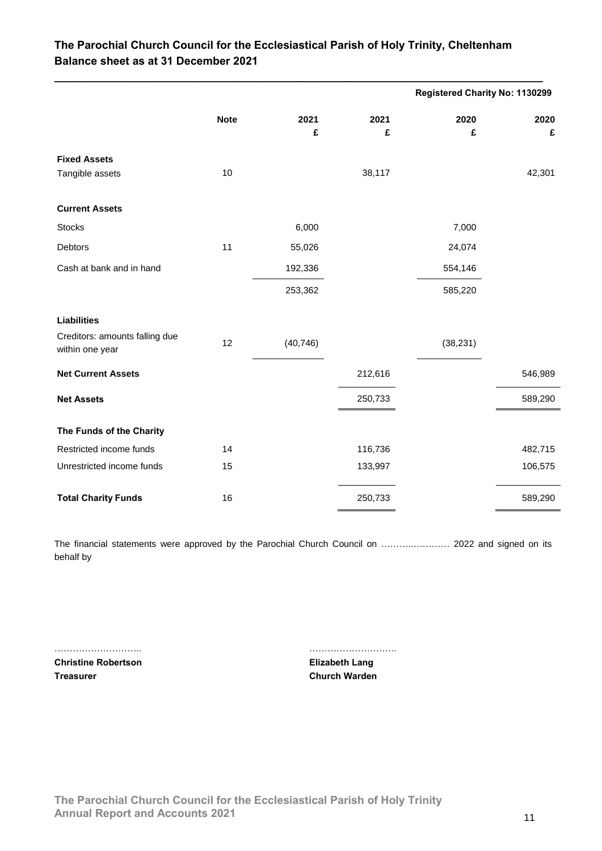|                                                   |             |           |           | Registered Charity No: 1130299 |           |
|---------------------------------------------------|-------------|-----------|-----------|--------------------------------|-----------|
|                                                   | <b>Note</b> | 2021<br>£ | 2021<br>£ | 2020<br>£                      | 2020<br>£ |
| <b>Fixed Assets</b>                               |             |           |           |                                |           |
| Tangible assets                                   | 10          |           | 38,117    |                                | 42,301    |
| <b>Current Assets</b>                             |             |           |           |                                |           |
| <b>Stocks</b>                                     |             | 6,000     |           | 7,000                          |           |
| Debtors                                           | 11          | 55,026    |           | 24,074                         |           |
| Cash at bank and in hand                          |             | 192,336   |           | 554,146                        |           |
|                                                   |             | 253,362   |           | 585,220                        |           |
| <b>Liabilities</b>                                |             |           |           |                                |           |
| Creditors: amounts falling due<br>within one year | 12          | (40, 746) |           | (38, 231)                      |           |
| <b>Net Current Assets</b>                         |             |           | 212,616   |                                | 546,989   |
| <b>Net Assets</b>                                 |             |           | 250,733   |                                | 589,290   |
| The Funds of the Charity                          |             |           |           |                                |           |
| Restricted income funds                           | 14          |           | 116,736   |                                | 482,715   |
| Unrestricted income funds                         | 15          |           | 133,997   |                                | 106,575   |
| <b>Total Charity Funds</b>                        | 16          |           | 250,733   |                                | 589,290   |

## **The Parochial Church Council for the Ecclesiastical Parish of Holy Trinity, Cheltenham Balance sheet as at 31 December 2021**

The financial statements were approved by the Parochial Church Council on ...................... 2022 and signed on its behalf by

**Christine Robertson Elizabeth Lang**

……………………….. ………………………..

**Treasurer Church Warden**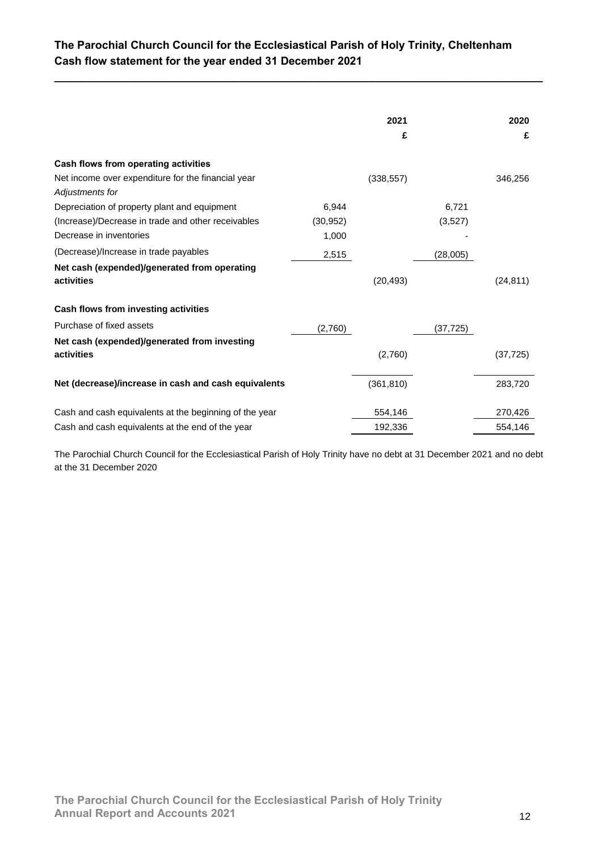**\_\_\_\_\_\_\_\_\_\_\_\_\_\_\_\_\_\_\_\_\_\_\_\_\_\_\_\_\_\_\_\_\_\_\_\_\_\_\_\_\_\_\_\_\_\_\_\_\_\_\_\_\_\_\_\_\_\_\_\_\_\_\_\_\_\_\_\_\_\_\_\_\_\_\_\_\_\_\_**

|                                                        |           | 2021<br>£  |          | 2020<br>£ |
|--------------------------------------------------------|-----------|------------|----------|-----------|
| Cash flows from operating activities                   |           |            |          |           |
| Net income over expenditure for the financial year     |           | (338, 557) |          | 346,256   |
| Adjustments for                                        |           |            |          |           |
| Depreciation of property plant and equipment           | 6,944     |            | 6,721    |           |
| (Increase)/Decrease in trade and other receivables     | (30, 952) |            | (3,527)  |           |
| Decrease in inventories                                | 1,000     |            |          |           |
| (Decrease)/Increase in trade payables                  | 2,515     |            | (28,005) |           |
| Net cash (expended)/generated from operating           |           |            |          |           |
| activities                                             |           | (20, 493)  |          | (24, 811) |
| Cash flows from investing activities                   |           |            |          |           |
| Purchase of fixed assets                               | (2,760)   |            | (37,725) |           |
| Net cash (expended)/generated from investing           |           |            |          |           |
| activities                                             |           | (2,760)    |          | (37, 725) |
| Net (decrease)/increase in cash and cash equivalents   |           | (361, 810) |          | 283,720   |
| Cash and cash equivalents at the beginning of the year |           | 554,146    |          | 270,426   |
|                                                        |           |            |          |           |
| Cash and cash equivalents at the end of the year       |           | 192,336    |          | 554,146   |

The Parochial Church Council for the Ecclesiastical Parish of Holy Trinity have no debt at 31 December 2021 and no debt at the 31 December 2020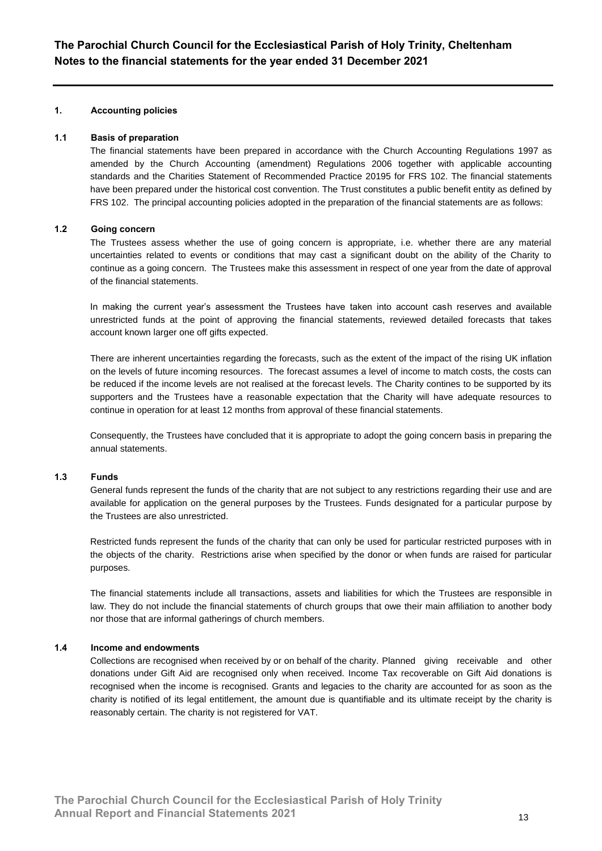## **1. Accounting policies**

### **1.1 Basis of preparation**

The financial statements have been prepared in accordance with the Church Accounting Regulations 1997 as amended by the Church Accounting (amendment) Regulations 2006 together with applicable accounting standards and the Charities Statement of Recommended Practice 20195 for FRS 102. The financial statements have been prepared under the historical cost convention. The Trust constitutes a public benefit entity as defined by FRS 102. The principal accounting policies adopted in the preparation of the financial statements are as follows:

## **1.2 Going concern**

The Trustees assess whether the use of going concern is appropriate, i.e. whether there are any material uncertainties related to events or conditions that may cast a significant doubt on the ability of the Charity to continue as a going concern. The Trustees make this assessment in respect of one year from the date of approval of the financial statements.

In making the current year's assessment the Trustees have taken into account cash reserves and available unrestricted funds at the point of approving the financial statements, reviewed detailed forecasts that takes account known larger one off gifts expected.

There are inherent uncertainties regarding the forecasts, such as the extent of the impact of the rising UK inflation on the levels of future incoming resources. The forecast assumes a level of income to match costs, the costs can be reduced if the income levels are not realised at the forecast levels. The Charity contines to be supported by its supporters and the Trustees have a reasonable expectation that the Charity will have adequate resources to continue in operation for at least 12 months from approval of these financial statements.

Consequently, the Trustees have concluded that it is appropriate to adopt the going concern basis in preparing the annual statements.

### **1.3 Funds**

General funds represent the funds of the charity that are not subject to any restrictions regarding their use and are available for application on the general purposes by the Trustees. Funds designated for a particular purpose by the Trustees are also unrestricted.

Restricted funds represent the funds of the charity that can only be used for particular restricted purposes with in the objects of the charity. Restrictions arise when specified by the donor or when funds are raised for particular purposes.

The financial statements include all transactions, assets and liabilities for which the Trustees are responsible in law. They do not include the financial statements of church groups that owe their main affiliation to another body nor those that are informal gatherings of church members.

## **1.4 Income and endowments**

Collections are recognised when received by or on behalf of the charity. Planned giving receivable and other donations under Gift Aid are recognised only when received. Income Tax recoverable on Gift Aid donations is recognised when the income is recognised. Grants and legacies to the charity are accounted for as soon as the charity is notified of its legal entitlement, the amount due is quantifiable and its ultimate receipt by the charity is reasonably certain. The charity is not registered for VAT.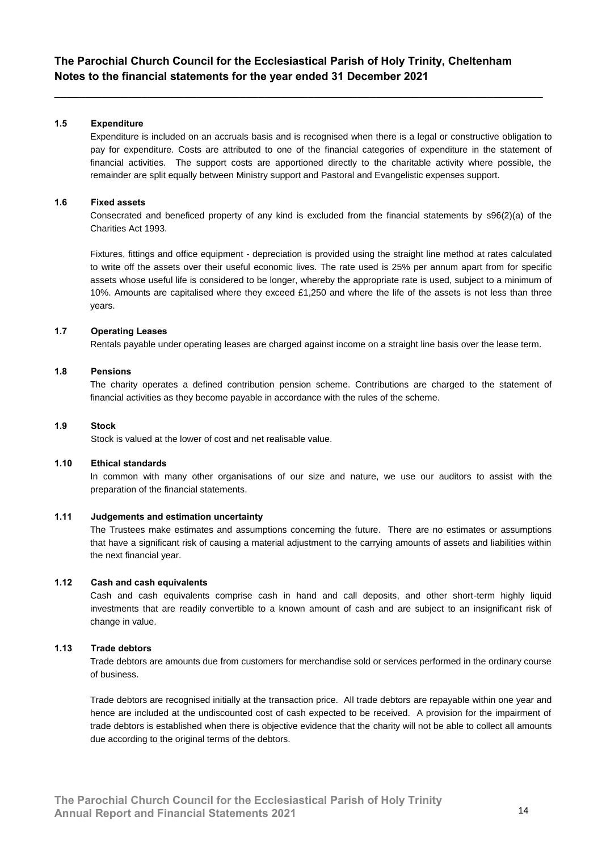**\_\_\_\_\_\_\_\_\_\_\_\_\_\_\_\_\_\_\_\_\_\_\_\_\_\_\_\_\_\_\_\_\_\_\_\_\_\_\_\_\_\_\_\_\_\_\_\_\_\_\_\_\_\_\_\_\_\_\_\_\_\_\_\_\_\_\_\_\_\_\_\_\_\_\_\_\_\_\_**

## **1.5 Expenditure**

Expenditure is included on an accruals basis and is recognised when there is a legal or constructive obligation to pay for expenditure. Costs are attributed to one of the financial categories of expenditure in the statement of financial activities. The support costs are apportioned directly to the charitable activity where possible, the remainder are split equally between Ministry support and Pastoral and Evangelistic expenses support.

#### **1.6 Fixed assets**

Consecrated and beneficed property of any kind is excluded from the financial statements by s96(2)(a) of the Charities Act 1993.

Fixtures, fittings and office equipment - depreciation is provided using the straight line method at rates calculated to write off the assets over their useful economic lives. The rate used is 25% per annum apart from for specific assets whose useful life is considered to be longer, whereby the appropriate rate is used, subject to a minimum of 10%. Amounts are capitalised where they exceed £1,250 and where the life of the assets is not less than three years.

### **1.7 Operating Leases**

Rentals payable under operating leases are charged against income on a straight line basis over the lease term.

### **1.8 Pensions**

The charity operates a defined contribution pension scheme. Contributions are charged to the statement of financial activities as they become payable in accordance with the rules of the scheme.

### **1.9 Stock**

Stock is valued at the lower of cost and net realisable value.

## **1.10 Ethical standards**

In common with many other organisations of our size and nature, we use our auditors to assist with the preparation of the financial statements.

### **1.11 Judgements and estimation uncertainty**

The Trustees make estimates and assumptions concerning the future. There are no estimates or assumptions that have a significant risk of causing a material adjustment to the carrying amounts of assets and liabilities within the next financial year.

### **1.12 Cash and cash equivalents**

Cash and cash equivalents comprise cash in hand and call deposits, and other short-term highly liquid investments that are readily convertible to a known amount of cash and are subject to an insignificant risk of change in value.

## **1.13 Trade debtors**

Trade debtors are amounts due from customers for merchandise sold or services performed in the ordinary course of business.

Trade debtors are recognised initially at the transaction price. All trade debtors are repayable within one year and hence are included at the undiscounted cost of cash expected to be received. A provision for the impairment of trade debtors is established when there is objective evidence that the charity will not be able to collect all amounts due according to the original terms of the debtors.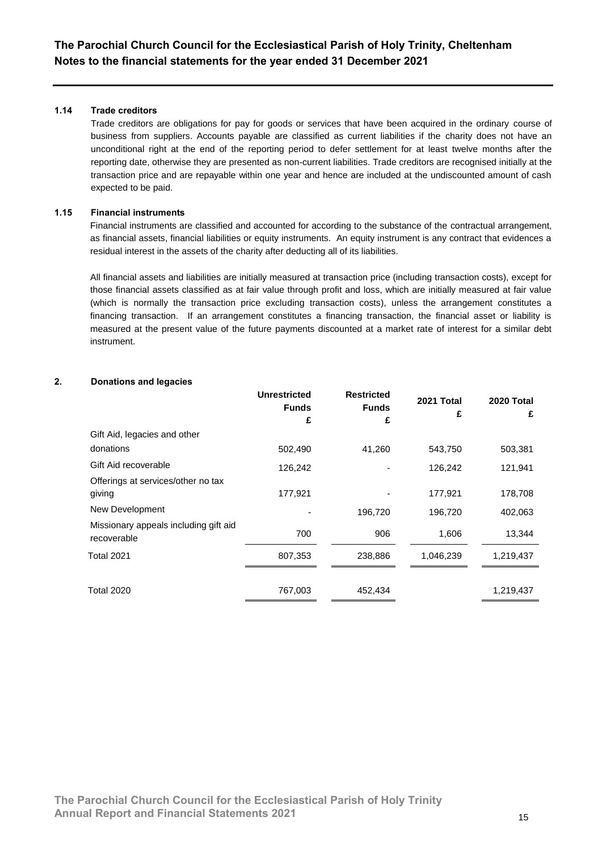## **1.14 Trade creditors**

Trade creditors are obligations for pay for goods or services that have been acquired in the ordinary course of business from suppliers. Accounts payable are classified as current liabilities if the charity does not have an unconditional right at the end of the reporting period to defer settlement for at least twelve months after the reporting date, otherwise they are presented as non-current liabilities. Trade creditors are recognised initially at the transaction price and are repayable within one year and hence are included at the undiscounted amount of cash expected to be paid.

## **1.15 Financial instruments**

Financial instruments are classified and accounted for according to the substance of the contractual arrangement, as financial assets, financial liabilities or equity instruments. An equity instrument is any contract that evidences a residual interest in the assets of the charity after deducting all of its liabilities.

All financial assets and liabilities are initially measured at transaction price (including transaction costs), except for those financial assets classified as at fair value through profit and loss, which are initially measured at fair value (which is normally the transaction price excluding transaction costs), unless the arrangement constitutes a financing transaction. If an arrangement constitutes a financing transaction, the financial asset or liability is measured at the present value of the future payments discounted at a market rate of interest for a similar debt instrument.

### **2. Donations and legacies**

| <b>Unrestricted</b><br><b>Funds</b><br>£      | <b>Restricted</b><br><b>Funds</b><br>£ | 2021 Total<br>£ | 2020 Total<br>£ |
|-----------------------------------------------|----------------------------------------|-----------------|-----------------|
|                                               |                                        |                 |                 |
| 502,490                                       | 41,260                                 | 543,750         | 503,381         |
| 126,242                                       |                                        | 126,242         | 121,941         |
| Offerings at services/other no tax<br>177,921 |                                        | 177,921         | 178,708         |
|                                               | 196,720                                | 196,720         | 402,063         |
| Missionary appeals including gift aid<br>700  | 906                                    | 1,606           | 13,344          |
| 807,353                                       | 238,886                                | 1,046,239       | 1,219,437       |
|                                               |                                        |                 |                 |
| 767,003                                       | 452,434                                |                 | 1,219,437       |
|                                               |                                        |                 |                 |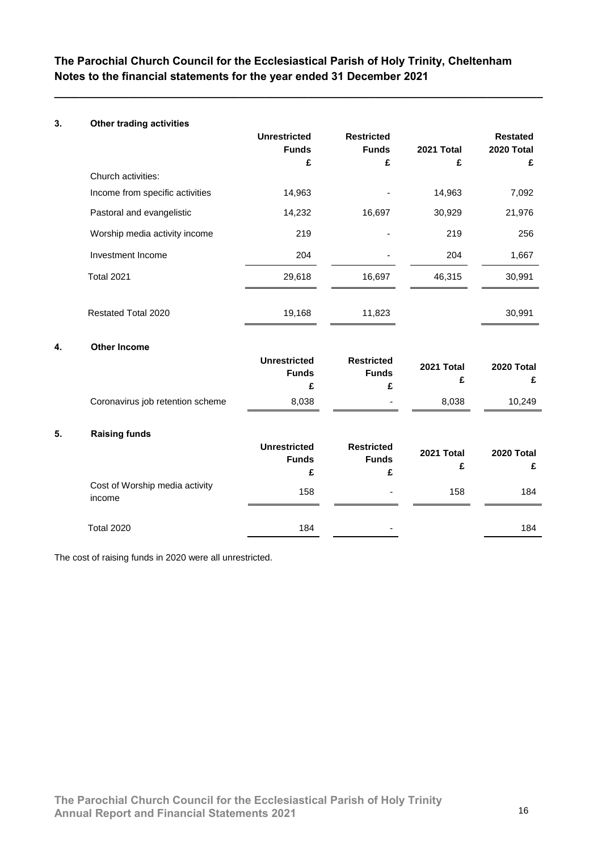**\_\_\_\_\_\_\_\_\_\_\_\_\_\_\_\_\_\_\_\_\_\_\_\_\_\_\_\_\_\_\_\_\_\_\_\_\_\_\_\_\_\_\_\_\_\_\_\_\_\_\_\_\_\_\_\_\_\_\_\_\_\_\_\_\_\_\_\_\_\_\_\_\_\_\_\_\_\_\_**

## **3. Other trading activities**

|                                          | <b>Unrestricted</b><br><b>Funds</b><br>£ | <b>Restricted</b><br><b>Funds</b><br>£ | 2021 Total<br>£ | <b>Restated</b><br>2020 Total<br>£ |
|------------------------------------------|------------------------------------------|----------------------------------------|-----------------|------------------------------------|
| Church activities:                       |                                          |                                        |                 |                                    |
| Income from specific activities          | 14,963                                   |                                        | 14,963          | 7,092                              |
| Pastoral and evangelistic                | 14,232                                   | 16,697                                 | 30,929          | 21,976                             |
| Worship media activity income            | 219                                      |                                        | 219             | 256                                |
| Investment Income                        | 204                                      |                                        | 204             | 1,667                              |
| <b>Total 2021</b>                        | 29,618                                   | 16,697                                 | 46,315          | 30,991                             |
| <b>Restated Total 2020</b>               | 19,168                                   | 11,823                                 |                 | 30,991                             |
| <b>Other Income</b>                      |                                          |                                        |                 |                                    |
|                                          | <b>Unrestricted</b><br><b>Funds</b><br>£ | <b>Restricted</b><br><b>Funds</b><br>£ | 2021 Total<br>£ | 2020 Total<br>£                    |
| Coronavirus job retention scheme         | 8,038                                    |                                        | 8,038           | 10,249                             |
| <b>Raising funds</b>                     |                                          |                                        |                 |                                    |
|                                          |                                          | <b>Restricted</b>                      | 2021 Total      | 2020 Total                         |
|                                          | £                                        | £                                      | £               | £                                  |
| Cost of Worship media activity<br>income | 158                                      |                                        | 158             | 184                                |
| <b>Total 2020</b>                        | 184                                      |                                        |                 | 184                                |
|                                          |                                          | <b>Unrestricted</b><br><b>Funds</b>    | <b>Funds</b>    |                                    |

The cost of raising funds in 2020 were all unrestricted.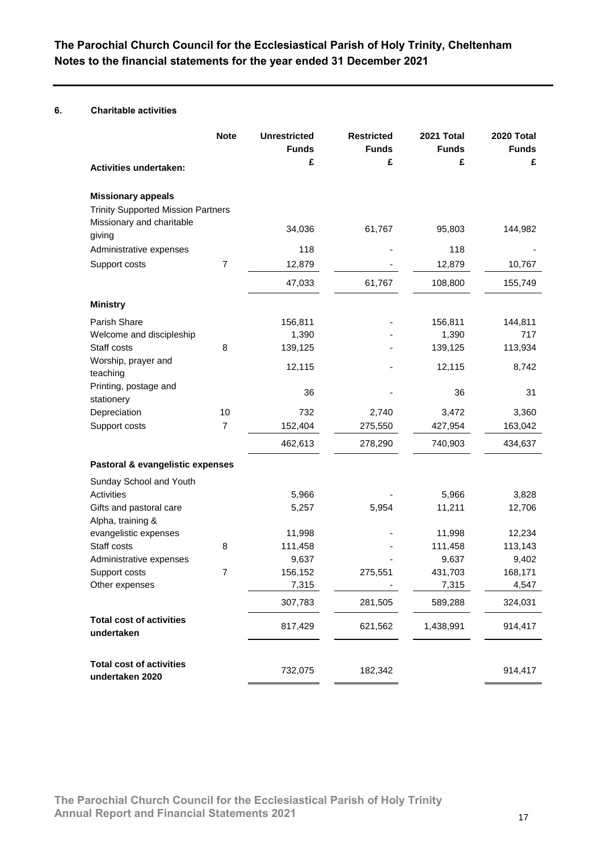## **6. Charitable activities**

|                                                                        | <b>Note</b>    | <b>Unrestricted</b><br><b>Funds</b> | <b>Restricted</b><br><b>Funds</b> | 2021 Total<br><b>Funds</b> | 2020 Total<br><b>Funds</b> |
|------------------------------------------------------------------------|----------------|-------------------------------------|-----------------------------------|----------------------------|----------------------------|
| <b>Activities undertaken:</b>                                          |                | £                                   | £                                 | £                          | £                          |
| <b>Missionary appeals</b><br><b>Trinity Supported Mission Partners</b> |                |                                     |                                   |                            |                            |
| Missionary and charitable<br>giving                                    |                | 34,036                              | 61,767                            | 95,803                     | 144,982                    |
| Administrative expenses                                                |                | 118                                 |                                   | 118                        |                            |
| Support costs                                                          | $\overline{7}$ | 12,879                              |                                   | 12,879                     | 10,767                     |
|                                                                        |                | 47,033                              | 61,767                            | 108,800                    | 155,749                    |
| <b>Ministry</b>                                                        |                |                                     |                                   |                            |                            |
| Parish Share                                                           |                | 156,811                             |                                   | 156,811                    | 144,811                    |
| Welcome and discipleship                                               |                | 1,390                               |                                   | 1,390                      | 717                        |
| Staff costs                                                            | 8              | 139,125                             |                                   | 139,125                    | 113,934                    |
| Worship, prayer and<br>teaching                                        |                | 12,115                              |                                   | 12,115                     | 8,742                      |
| Printing, postage and<br>stationery                                    |                | 36                                  |                                   | 36                         | 31                         |
| Depreciation                                                           | 10             | 732                                 | 2,740                             | 3,472                      | 3,360                      |
| Support costs                                                          | $\overline{7}$ | 152,404                             | 275,550                           | 427,954                    | 163,042                    |
|                                                                        |                | 462,613                             | 278,290                           | 740,903                    | 434,637                    |
| Pastoral & evangelistic expenses                                       |                |                                     |                                   |                            |                            |
| Sunday School and Youth                                                |                |                                     |                                   |                            |                            |
| Activities                                                             |                | 5,966                               |                                   | 5,966                      | 3,828                      |
| Gifts and pastoral care<br>Alpha, training &                           |                | 5,257                               | 5,954                             | 11,211                     | 12,706                     |
| evangelistic expenses                                                  |                | 11,998                              |                                   | 11,998                     | 12,234                     |
| Staff costs                                                            | 8              | 111,458                             |                                   | 111,458                    | 113,143                    |
| Administrative expenses                                                |                | 9,637                               |                                   | 9,637                      | 9,402                      |
| Support costs                                                          | $\overline{7}$ | 156,152                             | 275,551                           | 431,703                    | 168,171                    |
| Other expenses                                                         |                | 7,315                               |                                   | 7,315                      | 4,547                      |
|                                                                        |                | 307,783                             | 281,505                           | 589,288                    | 324,031                    |
| <b>Total cost of activities</b><br>undertaken                          |                | 817,429                             | 621,562                           | 1,438,991                  | 914,417                    |
| <b>Total cost of activities</b><br>undertaken 2020                     |                | 732,075                             | 182,342                           |                            | 914,417                    |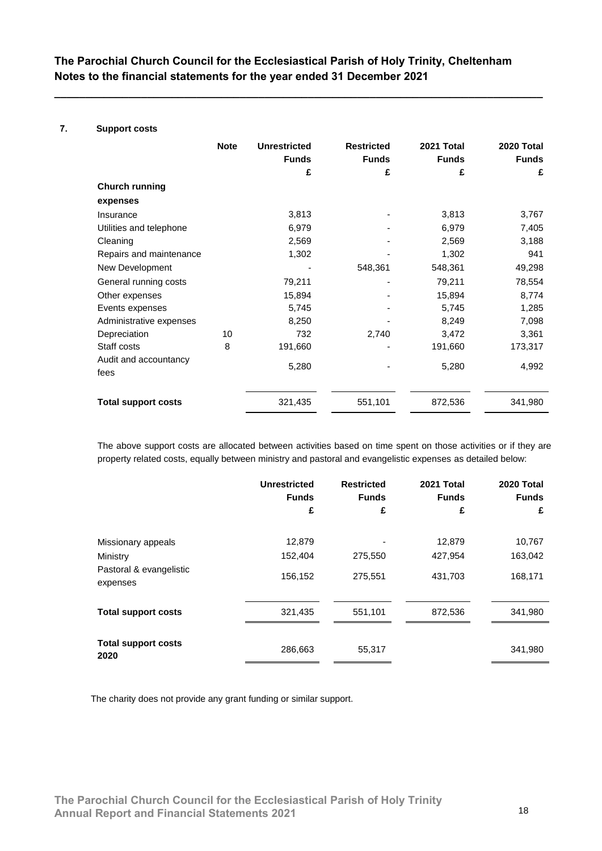**\_\_\_\_\_\_\_\_\_\_\_\_\_\_\_\_\_\_\_\_\_\_\_\_\_\_\_\_\_\_\_\_\_\_\_\_\_\_\_\_\_\_\_\_\_\_\_\_\_\_\_\_\_\_\_\_\_\_\_\_\_\_\_\_\_\_\_\_\_\_\_\_\_\_\_\_\_\_\_**

## **7. Support costs**

| <b>Note</b>                | <b>Unrestricted</b><br><b>Funds</b><br>£ | <b>Restricted</b><br><b>Funds</b><br>£ | 2021 Total<br><b>Funds</b><br>£ | 2020 Total<br><b>Funds</b><br>£ |
|----------------------------|------------------------------------------|----------------------------------------|---------------------------------|---------------------------------|
| <b>Church running</b>      |                                          |                                        |                                 |                                 |
| expenses                   |                                          |                                        |                                 |                                 |
| Insurance                  | 3,813                                    |                                        | 3,813                           | 3,767                           |
| Utilities and telephone    | 6,979                                    |                                        | 6,979                           | 7,405                           |
| Cleaning                   | 2,569                                    |                                        | 2,569                           | 3,188                           |
| Repairs and maintenance    | 1,302                                    |                                        | 1,302                           | 941                             |
| New Development            |                                          | 548,361                                | 548,361                         | 49,298                          |
| General running costs      | 79,211                                   |                                        | 79,211                          | 78,554                          |
| Other expenses             | 15,894                                   |                                        | 15,894                          | 8,774                           |
| Events expenses            | 5,745                                    |                                        | 5,745                           | 1,285                           |
| Administrative expenses    | 8,250                                    |                                        | 8,249                           | 7,098                           |
| Depreciation<br>10         | 732                                      | 2,740                                  | 3,472                           | 3,361                           |
| Staff costs<br>8           | 191,660                                  |                                        | 191,660                         | 173,317                         |
| Audit and accountancy      | 5,280                                    |                                        | 5,280                           | 4,992                           |
| fees                       |                                          |                                        |                                 |                                 |
| <b>Total support costs</b> | 321,435                                  | 551,101                                | 872,536                         | 341,980                         |

The above support costs are allocated between activities based on time spent on those activities or if they are property related costs, equally between ministry and pastoral and evangelistic expenses as detailed below:

|                                     | <b>Unrestricted</b><br><b>Funds</b><br>£ | <b>Restricted</b><br><b>Funds</b><br>£ | 2021 Total<br><b>Funds</b><br>£ | 2020 Total<br><b>Funds</b><br>£ |
|-------------------------------------|------------------------------------------|----------------------------------------|---------------------------------|---------------------------------|
| Missionary appeals                  | 12,879                                   | -                                      | 12,879                          | 10,767                          |
| Ministry                            | 152,404                                  | 275,550                                | 427,954                         | 163,042                         |
| Pastoral & evangelistic<br>expenses | 156,152                                  | 275,551                                | 431,703                         | 168,171                         |
| <b>Total support costs</b>          | 321,435                                  | 551,101                                | 872,536                         | 341,980                         |
| <b>Total support costs</b><br>2020  | 286,663                                  | 55,317                                 |                                 | 341,980                         |

The charity does not provide any grant funding or similar support.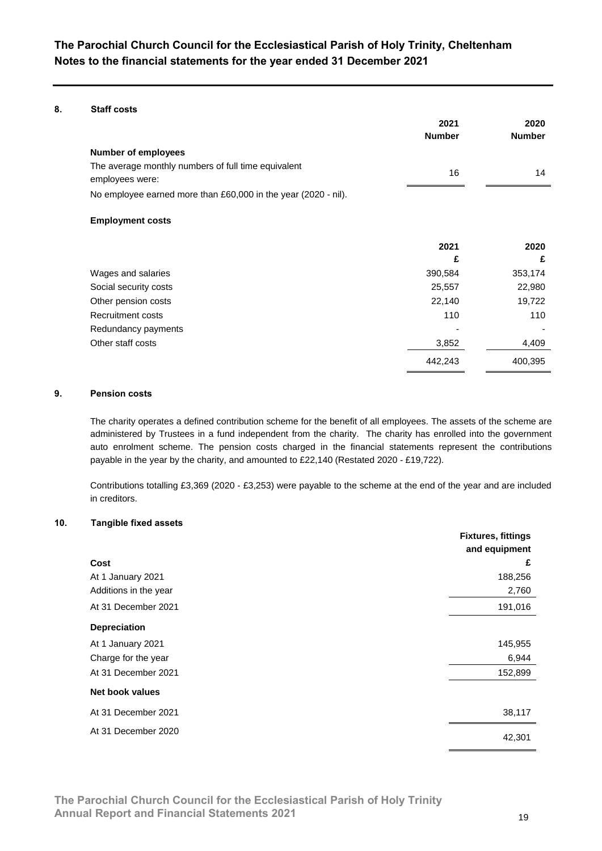## **8. Staff costs**

|                                                                        | 2021<br><b>Number</b> | 2020<br><b>Number</b> |
|------------------------------------------------------------------------|-----------------------|-----------------------|
| <b>Number of employees</b>                                             |                       |                       |
| The average monthly numbers of full time equivalent<br>employees were: | 16                    | 14                    |
| No employee earned more than £60,000 in the year (2020 - nil).         |                       |                       |
| <b>Employment costs</b>                                                |                       |                       |
|                                                                        | 2021                  | 2020                  |
|                                                                        | £                     | £                     |
| Wages and salaries                                                     | 390,584               | 353,174               |
| Social security costs                                                  | 25,557                | 22,980                |
| Other pension costs                                                    | 22,140                | 19,722                |
| Recruitment costs                                                      | 110                   | 110                   |
| Redundancy payments                                                    |                       |                       |
| Other staff costs                                                      | 3,852                 | 4,409                 |
|                                                                        | 442,243               | 400,395               |

## **9. Pension costs**

The charity operates a defined contribution scheme for the benefit of all employees. The assets of the scheme are administered by Trustees in a fund independent from the charity. The charity has enrolled into the government auto enrolment scheme. The pension costs charged in the financial statements represent the contributions payable in the year by the charity, and amounted to £22,140 (Restated 2020 - £19,722).

Contributions totalling £3,369 (2020 - £3,253) were payable to the scheme at the end of the year and are included in creditors.

## **10. Tangible fixed assets**

|                        | <b>Fixtures, fittings</b> |
|------------------------|---------------------------|
|                        | and equipment             |
| Cost                   | £                         |
| At 1 January 2021      | 188,256                   |
| Additions in the year  | 2,760                     |
| At 31 December 2021    | 191,016                   |
| <b>Depreciation</b>    |                           |
| At 1 January 2021      | 145,955                   |
| Charge for the year    | 6,944                     |
| At 31 December 2021    | 152,899                   |
| <b>Net book values</b> |                           |
| At 31 December 2021    | 38,117                    |
| At 31 December 2020    | 42,301                    |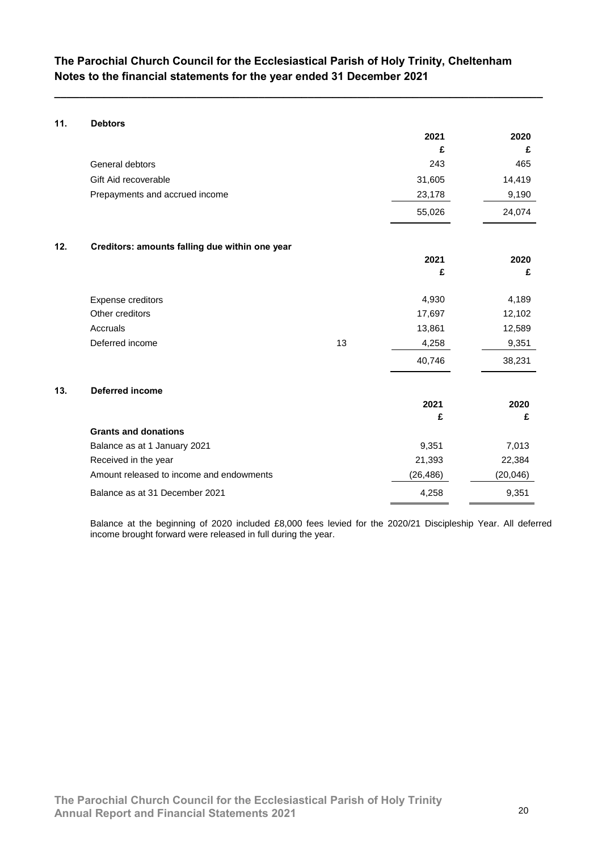**\_\_\_\_\_\_\_\_\_\_\_\_\_\_\_\_\_\_\_\_\_\_\_\_\_\_\_\_\_\_\_\_\_\_\_\_\_\_\_\_\_\_\_\_\_\_\_\_\_\_\_\_\_\_\_\_\_\_\_\_\_\_\_\_\_\_\_\_\_\_\_\_\_\_\_\_\_\_\_**

|     |                                                |    | 2021      | 2020      |
|-----|------------------------------------------------|----|-----------|-----------|
|     |                                                |    | £         | £         |
|     | General debtors                                |    | 243       | 465       |
|     | Gift Aid recoverable                           |    | 31,605    | 14,419    |
|     | Prepayments and accrued income                 |    | 23,178    | 9,190     |
|     |                                                |    | 55,026    | 24,074    |
| 12. | Creditors: amounts falling due within one year |    |           |           |
|     |                                                |    | 2021      | 2020      |
|     |                                                |    | £         | £         |
|     | Expense creditors                              |    | 4,930     | 4,189     |
|     | Other creditors                                |    | 17,697    | 12,102    |
|     | Accruals                                       |    | 13,861    | 12,589    |
|     | Deferred income                                | 13 | 4,258     | 9,351     |
|     |                                                |    | 40,746    | 38,231    |
| 13. | Deferred income                                |    |           |           |
|     |                                                |    | 2021      | 2020      |
|     |                                                |    | £         | £         |
|     | <b>Grants and donations</b>                    |    |           |           |
|     | Balance as at 1 January 2021                   |    | 9,351     | 7,013     |
|     | Received in the year                           |    | 21,393    | 22,384    |
|     | Amount released to income and endowments       |    | (26, 486) | (20, 046) |
|     | Balance as at 31 December 2021                 |    | 4,258     | 9,351     |

Balance at the beginning of 2020 included £8,000 fees levied for the 2020/21 Discipleship Year. All deferred income brought forward were released in full during the year.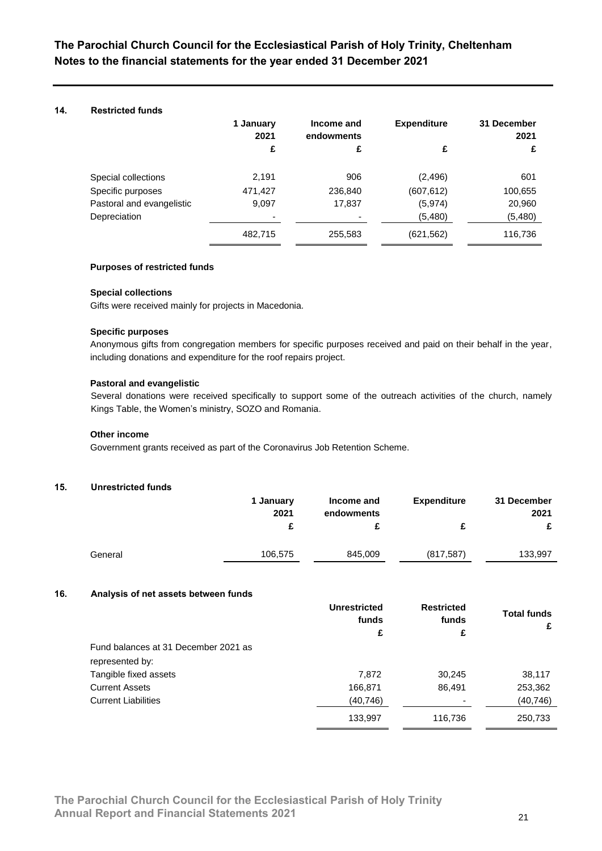## **14. Restricted funds**

|                           | 1 January<br>2021 | Income and<br>endowments | <b>Expenditure</b> | 31 December<br>2021 |
|---------------------------|-------------------|--------------------------|--------------------|---------------------|
|                           | £                 | £                        | £                  | £                   |
| Special collections       | 2,191             | 906                      | (2, 496)           | 601                 |
| Specific purposes         | 471,427           | 236,840                  | (607, 612)         | 100,655             |
| Pastoral and evangelistic | 9.097             | 17,837                   | (5, 974)           | 20,960              |
| Depreciation              |                   |                          | (5,480)            | (5,480)             |
|                           | 482,715           | 255,583                  | (621, 562)         | 116,736             |

### **Purposes of restricted funds**

## **Special collections**

Gifts were received mainly for projects in Macedonia.

### **Specific purposes**

Anonymous gifts from congregation members for specific purposes received and paid on their behalf in the year, including donations and expenditure for the roof repairs project.

## **Pastoral and evangelistic**

Several donations were received specifically to support some of the outreach activities of the church, namely Kings Table, the Women's ministry, SOZO and Romania.

### **Other income**

Government grants received as part of the Coronavirus Job Retention Scheme.

### **15. Unrestricted funds**

|     |                                      | 1 January<br>2021 | Income and<br>endowments | <b>Expenditure</b> | 31 December<br>2021 |
|-----|--------------------------------------|-------------------|--------------------------|--------------------|---------------------|
|     |                                      | £                 | £                        | £                  | £                   |
|     | General                              | 106,575           | 845,009                  | (817, 587)         | 133,997             |
| 16. | Analysis of net assets between funds |                   |                          |                    |                     |

|                                      | <b>Unrestricted</b><br>funds | <b>Restricted</b><br>funds | <b>Total funds</b><br>£ |
|--------------------------------------|------------------------------|----------------------------|-------------------------|
|                                      | £                            | £                          |                         |
| Fund balances at 31 December 2021 as |                              |                            |                         |
| represented by:                      |                              |                            |                         |
| Tangible fixed assets                | 7,872                        | 30,245                     | 38,117                  |
| <b>Current Assets</b>                | 166,871                      | 86,491                     | 253,362                 |
| <b>Current Liabilities</b>           | (40, 746)                    |                            | (40, 746)               |
|                                      | 133,997                      | 116,736                    | 250,733                 |